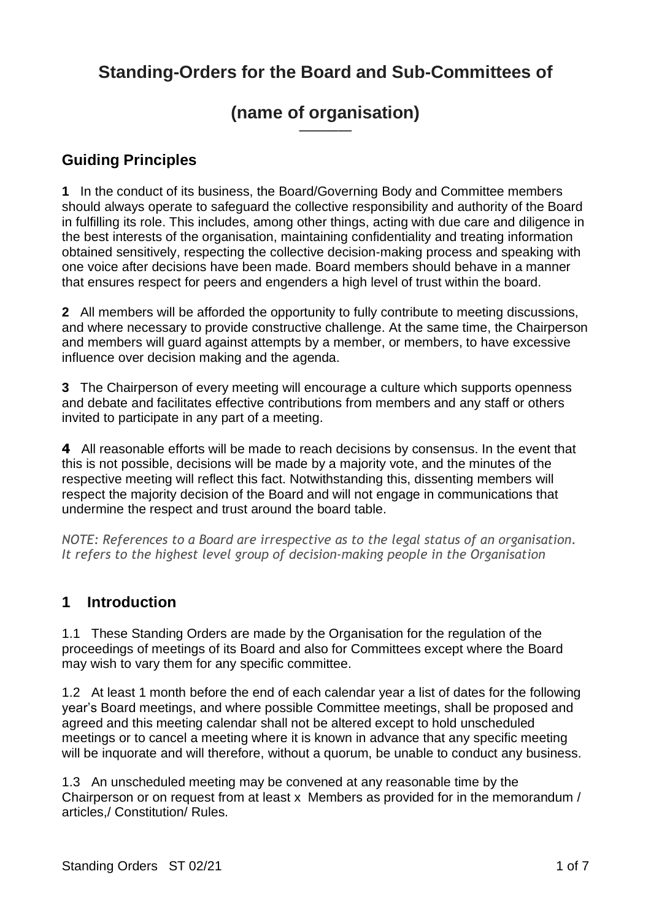# **Standing-Orders for the Board and Sub-Committees of**

#### **(name of organisation)** ————

#### **Guiding Principles**

**1** In the conduct of its business, the Board/Governing Body and Committee members should always operate to safeguard the collective responsibility and authority of the Board in fulfilling its role. This includes, among other things, acting with due care and diligence in the best interests of the organisation, maintaining confidentiality and treating information obtained sensitively, respecting the collective decision-making process and speaking with one voice after decisions have been made. Board members should behave in a manner that ensures respect for peers and engenders a high level of trust within the board.

**2** All members will be afforded the opportunity to fully contribute to meeting discussions, and where necessary to provide constructive challenge. At the same time, the Chairperson and members will guard against attempts by a member, or members, to have excessive influence over decision making and the agenda.

**3** The Chairperson of every meeting will encourage a culture which supports openness and debate and facilitates effective contributions from members and any staff or others invited to participate in any part of a meeting.

**4** All reasonable efforts will be made to reach decisions by consensus. In the event that this is not possible, decisions will be made by a majority vote, and the minutes of the respective meeting will reflect this fact. Notwithstanding this, dissenting members will respect the majority decision of the Board and will not engage in communications that undermine the respect and trust around the board table.

*NOTE: References to a Board are irrespective as to the legal status of an organisation. It refers to the highest level group of decision-making people in the Organisation*

#### **1 Introduction**

1.1 These Standing Orders are made by the Organisation for the regulation of the proceedings of meetings of its Board and also for Committees except where the Board may wish to vary them for any specific committee.

1.2 At least 1 month before the end of each calendar year a list of dates for the following year's Board meetings, and where possible Committee meetings, shall be proposed and agreed and this meeting calendar shall not be altered except to hold unscheduled meetings or to cancel a meeting where it is known in advance that any specific meeting will be inquorate and will therefore, without a quorum, be unable to conduct any business.

1.3 An unscheduled meeting may be convened at any reasonable time by the Chairperson or on request from at least x Members as provided for in the memorandum / articles,/ Constitution/ Rules.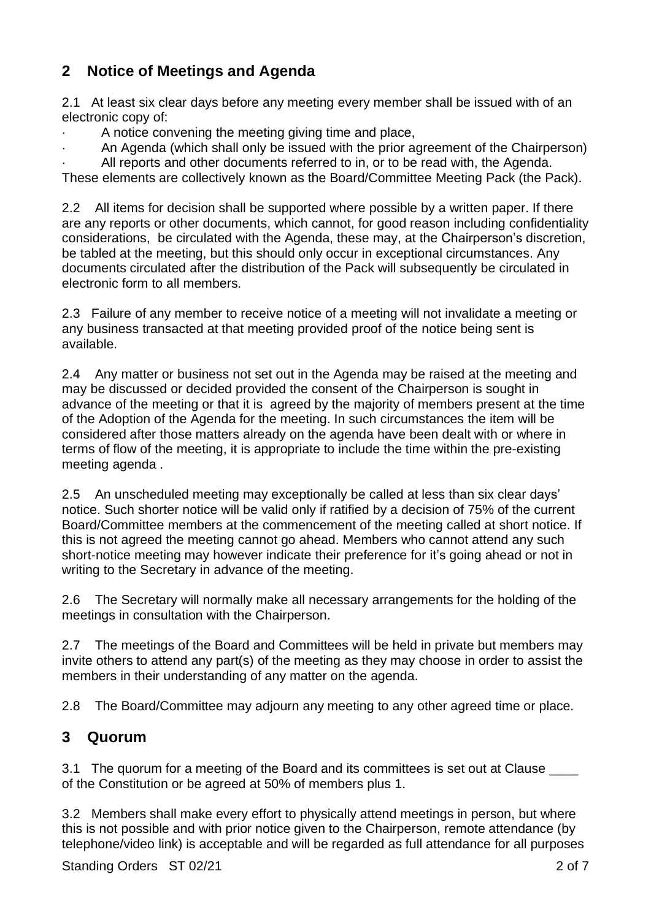### **2 Notice of Meetings and Agenda**

2.1 At least six clear days before any meeting every member shall be issued with of an electronic copy of:

· A notice convening the meeting giving time and place,

· An Agenda (which shall only be issued with the prior agreement of the Chairperson)

All reports and other documents referred to in, or to be read with, the Agenda. These elements are collectively known as the Board/Committee Meeting Pack (the Pack).

2.2 All items for decision shall be supported where possible by a written paper. If there are any reports or other documents, which cannot, for good reason including confidentiality considerations, be circulated with the Agenda, these may, at the Chairperson's discretion, be tabled at the meeting, but this should only occur in exceptional circumstances. Any documents circulated after the distribution of the Pack will subsequently be circulated in electronic form to all members.

2.3 Failure of any member to receive notice of a meeting will not invalidate a meeting or any business transacted at that meeting provided proof of the notice being sent is available.

2.4 Any matter or business not set out in the Agenda may be raised at the meeting and may be discussed or decided provided the consent of the Chairperson is sought in advance of the meeting or that it is agreed by the majority of members present at the time of the Adoption of the Agenda for the meeting. In such circumstances the item will be considered after those matters already on the agenda have been dealt with or where in terms of flow of the meeting, it is appropriate to include the time within the pre-existing meeting agenda .

2.5 An unscheduled meeting may exceptionally be called at less than six clear days' notice. Such shorter notice will be valid only if ratified by a decision of 75% of the current Board/Committee members at the commencement of the meeting called at short notice. If this is not agreed the meeting cannot go ahead. Members who cannot attend any such short-notice meeting may however indicate their preference for it's going ahead or not in writing to the Secretary in advance of the meeting.

2.6 The Secretary will normally make all necessary arrangements for the holding of the meetings in consultation with the Chairperson.

2.7 The meetings of the Board and Committees will be held in private but members may invite others to attend any part(s) of the meeting as they may choose in order to assist the members in their understanding of any matter on the agenda.

2.8 The Board/Committee may adjourn any meeting to any other agreed time or place.

#### **3 Quorum**

3.1 The quorum for a meeting of the Board and its committees is set out at Clause of the Constitution or be agreed at 50% of members plus 1.

3.2 Members shall make every effort to physically attend meetings in person, but where this is not possible and with prior notice given to the Chairperson, remote attendance (by telephone/video link) is acceptable and will be regarded as full attendance for all purposes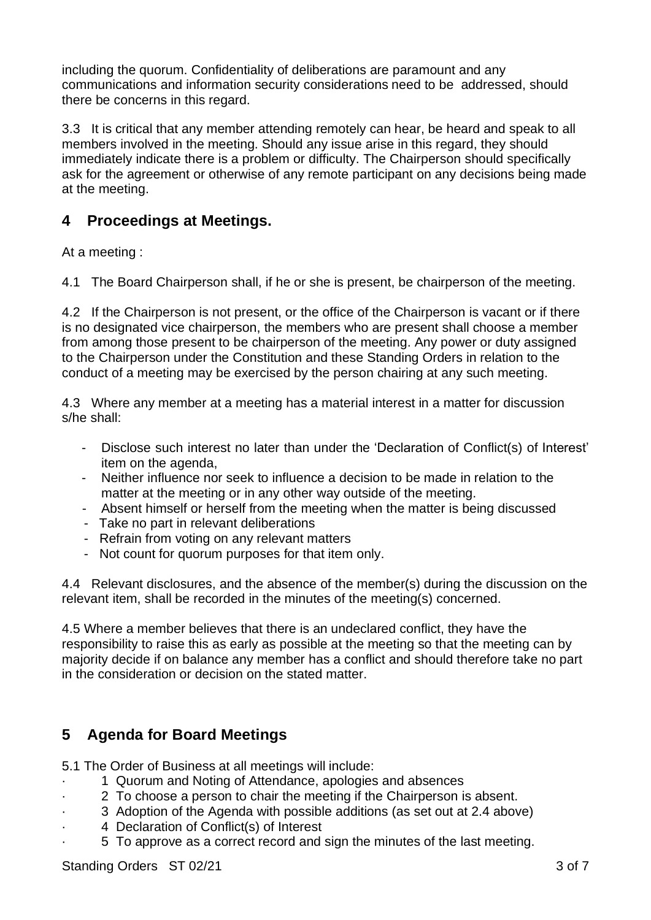including the quorum. Confidentiality of deliberations are paramount and any communications and information security considerations need to be addressed, should there be concerns in this regard.

3.3 It is critical that any member attending remotely can hear, be heard and speak to all members involved in the meeting. Should any issue arise in this regard, they should immediately indicate there is a problem or difficulty. The Chairperson should specifically ask for the agreement or otherwise of any remote participant on any decisions being made at the meeting.

#### **4 Proceedings at Meetings.**

At a meeting :

4.1 The Board Chairperson shall, if he or she is present, be chairperson of the meeting.

4.2 If the Chairperson is not present, or the office of the Chairperson is vacant or if there is no designated vice chairperson, the members who are present shall choose a member from among those present to be chairperson of the meeting. Any power or duty assigned to the Chairperson under the Constitution and these Standing Orders in relation to the conduct of a meeting may be exercised by the person chairing at any such meeting.

4.3 Where any member at a meeting has a material interest in a matter for discussion s/he shall:

- Disclose such interest no later than under the 'Declaration of Conflict(s) of Interest' item on the agenda,
- Neither influence nor seek to influence a decision to be made in relation to the matter at the meeting or in any other way outside of the meeting.
- Absent himself or herself from the meeting when the matter is being discussed
- Take no part in relevant deliberations
- Refrain from voting on any relevant matters
- Not count for quorum purposes for that item only.

4.4 Relevant disclosures, and the absence of the member(s) during the discussion on the relevant item, shall be recorded in the minutes of the meeting(s) concerned.

4.5 Where a member believes that there is an undeclared conflict, they have the responsibility to raise this as early as possible at the meeting so that the meeting can by majority decide if on balance any member has a conflict and should therefore take no part in the consideration or decision on the stated matter.

#### **5 Agenda for Board Meetings**

5.1 The Order of Business at all meetings will include:

- · 1 Quorum and Noting of Attendance, apologies and absences
	- · 2 To choose a person to chair the meeting if the Chairperson is absent.
- · 3 Adoption of the Agenda with possible additions (as set out at 2.4 above)
- 4 Declaration of Conflict(s) of Interest
- · 5 To approve as a correct record and sign the minutes of the last meeting.

Standing Orders ST 02/21 3 of 7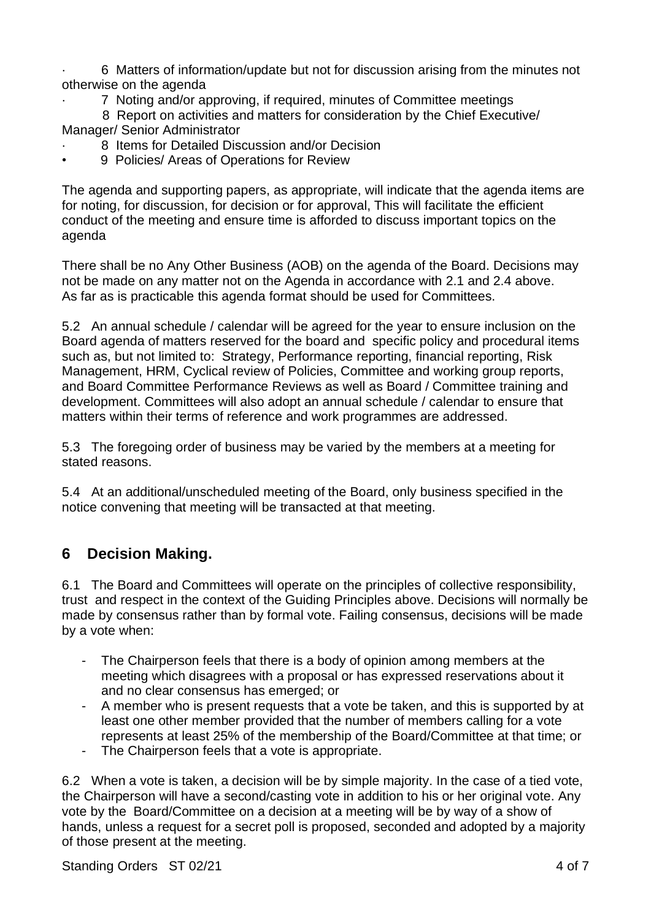· 6 Matters of information/update but not for discussion arising from the minutes not otherwise on the agenda

· 7 Noting and/or approving, if required, minutes of Committee meetings

 8 Report on activities and matters for consideration by the Chief Executive/ Manager/ Senior Administrator

- 8 Items for Detailed Discussion and/or Decision
- 9 Policies/ Areas of Operations for Review

The agenda and supporting papers, as appropriate, will indicate that the agenda items are for noting, for discussion, for decision or for approval, This will facilitate the efficient conduct of the meeting and ensure time is afforded to discuss important topics on the agenda

There shall be no Any Other Business (AOB) on the agenda of the Board. Decisions may not be made on any matter not on the Agenda in accordance with 2.1 and 2.4 above. As far as is practicable this agenda format should be used for Committees.

5.2 An annual schedule / calendar will be agreed for the year to ensure inclusion on the Board agenda of matters reserved for the board and specific policy and procedural items such as, but not limited to: Strategy, Performance reporting, financial reporting, Risk Management, HRM, Cyclical review of Policies, Committee and working group reports, and Board Committee Performance Reviews as well as Board / Committee training and development. Committees will also adopt an annual schedule / calendar to ensure that matters within their terms of reference and work programmes are addressed.

5.3 The foregoing order of business may be varied by the members at a meeting for stated reasons.

5.4 At an additional/unscheduled meeting of the Board, only business specified in the notice convening that meeting will be transacted at that meeting.

#### **6 Decision Making.**

6.1 The Board and Committees will operate on the principles of collective responsibility, trust and respect in the context of the Guiding Principles above. Decisions will normally be made by consensus rather than by formal vote. Failing consensus, decisions will be made by a vote when:

- The Chairperson feels that there is a body of opinion among members at the meeting which disagrees with a proposal or has expressed reservations about it and no clear consensus has emerged; or
- A member who is present requests that a vote be taken, and this is supported by at least one other member provided that the number of members calling for a vote represents at least 25% of the membership of the Board/Committee at that time; or
- The Chairperson feels that a vote is appropriate.

6.2 When a vote is taken, a decision will be by simple majority. In the case of a tied vote, the Chairperson will have a second/casting vote in addition to his or her original vote. Any vote by the Board/Committee on a decision at a meeting will be by way of a show of hands, unless a request for a secret poll is proposed, seconded and adopted by a majority of those present at the meeting.

Standing Orders ST 02/21 4 of 7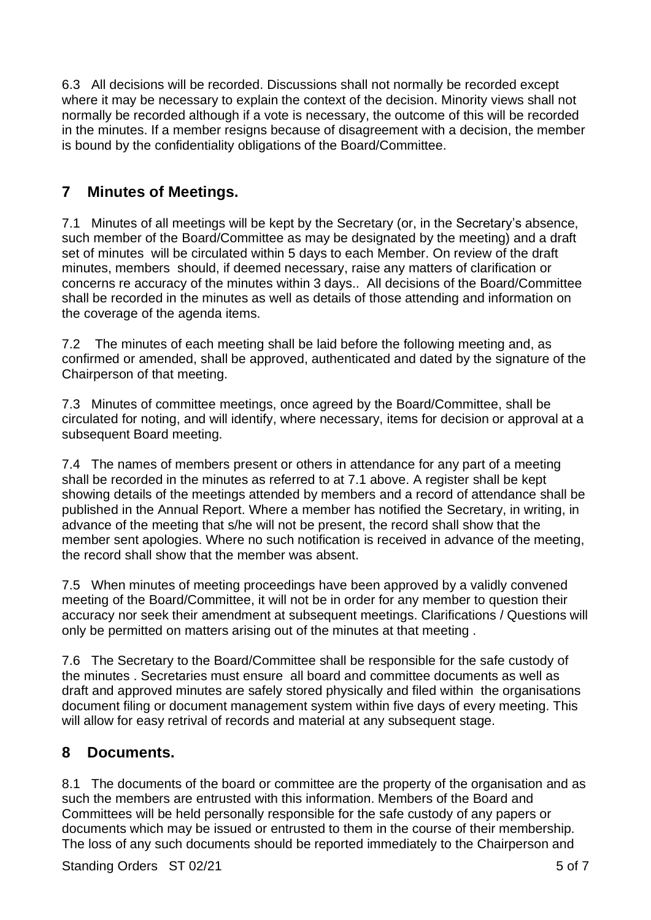6.3 All decisions will be recorded. Discussions shall not normally be recorded except where it may be necessary to explain the context of the decision. Minority views shall not normally be recorded although if a vote is necessary, the outcome of this will be recorded in the minutes. If a member resigns because of disagreement with a decision, the member is bound by the confidentiality obligations of the Board/Committee.

#### **7 Minutes of Meetings.**

7.1 Minutes of all meetings will be kept by the Secretary (or, in the Secretary's absence, such member of the Board/Committee as may be designated by the meeting) and a draft set of minutes will be circulated within 5 days to each Member. On review of the draft minutes, members should, if deemed necessary, raise any matters of clarification or concerns re accuracy of the minutes within 3 days.. All decisions of the Board/Committee shall be recorded in the minutes as well as details of those attending and information on the coverage of the agenda items.

7.2 The minutes of each meeting shall be laid before the following meeting and, as confirmed or amended, shall be approved, authenticated and dated by the signature of the Chairperson of that meeting.

7.3 Minutes of committee meetings, once agreed by the Board/Committee, shall be circulated for noting, and will identify, where necessary, items for decision or approval at a subsequent Board meeting.

7.4 The names of members present or others in attendance for any part of a meeting shall be recorded in the minutes as referred to at 7.1 above. A register shall be kept showing details of the meetings attended by members and a record of attendance shall be published in the Annual Report. Where a member has notified the Secretary, in writing, in advance of the meeting that s/he will not be present, the record shall show that the member sent apologies. Where no such notification is received in advance of the meeting, the record shall show that the member was absent.

7.5 When minutes of meeting proceedings have been approved by a validly convened meeting of the Board/Committee, it will not be in order for any member to question their accuracy nor seek their amendment at subsequent meetings. Clarifications / Questions will only be permitted on matters arising out of the minutes at that meeting .

7.6 The Secretary to the Board/Committee shall be responsible for the safe custody of the minutes . Secretaries must ensure all board and committee documents as well as draft and approved minutes are safely stored physically and filed within the organisations document filing or document management system within five days of every meeting. This will allow for easy retrival of records and material at any subsequent stage.

#### **8 Documents.**

8.1 The documents of the board or committee are the property of the organisation and as such the members are entrusted with this information. Members of the Board and Committees will be held personally responsible for the safe custody of any papers or documents which may be issued or entrusted to them in the course of their membership. The loss of any such documents should be reported immediately to the Chairperson and

Standing Orders ST 02/21 5 of 7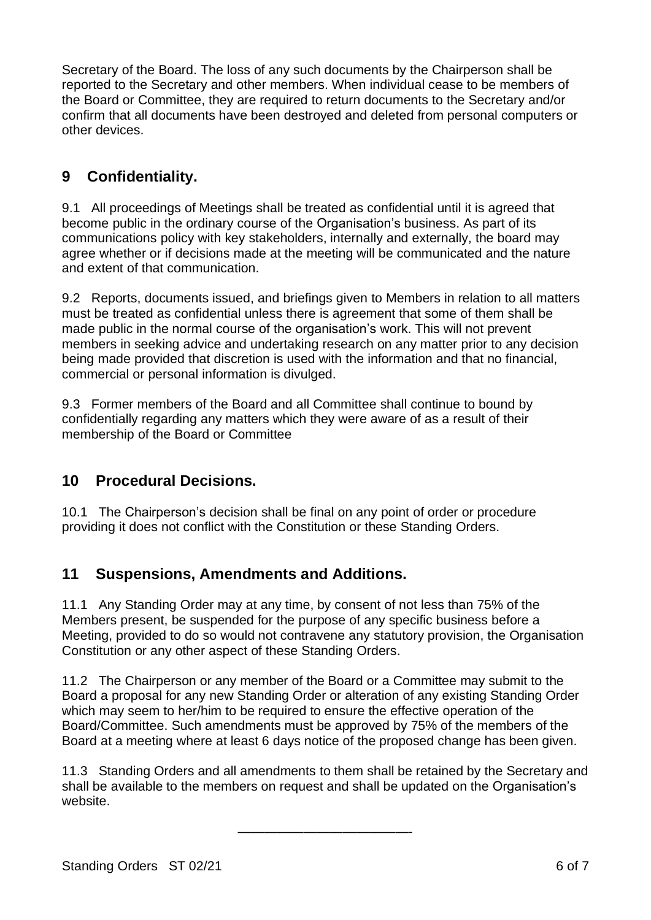Secretary of the Board. The loss of any such documents by the Chairperson shall be reported to the Secretary and other members. When individual cease to be members of the Board or Committee, they are required to return documents to the Secretary and/or confirm that all documents have been destroyed and deleted from personal computers or other devices.

## **9 Confidentiality.**

9.1 All proceedings of Meetings shall be treated as confidential until it is agreed that become public in the ordinary course of the Organisation's business. As part of its communications policy with key stakeholders, internally and externally, the board may agree whether or if decisions made at the meeting will be communicated and the nature and extent of that communication.

9.2 Reports, documents issued, and briefings given to Members in relation to all matters must be treated as confidential unless there is agreement that some of them shall be made public in the normal course of the organisation's work. This will not prevent members in seeking advice and undertaking research on any matter prior to any decision being made provided that discretion is used with the information and that no financial, commercial or personal information is divulged.

9.3 Former members of the Board and all Committee shall continue to bound by confidentially regarding any matters which they were aware of as a result of their membership of the Board or Committee

#### **10 Procedural Decisions.**

10.1 The Chairperson's decision shall be final on any point of order or procedure providing it does not conflict with the Constitution or these Standing Orders.

#### **11 Suspensions, Amendments and Additions.**

11.1 Any Standing Order may at any time, by consent of not less than 75% of the Members present, be suspended for the purpose of any specific business before a Meeting, provided to do so would not contravene any statutory provision, the Organisation Constitution or any other aspect of these Standing Orders.

11.2 The Chairperson or any member of the Board or a Committee may submit to the Board a proposal for any new Standing Order or alteration of any existing Standing Order which may seem to her/him to be required to ensure the effective operation of the Board/Committee. Such amendments must be approved by 75% of the members of the Board at a meeting where at least 6 days notice of the proposed change has been given.

11.3 Standing Orders and all amendments to them shall be retained by the Secretary and shall be available to the members on request and shall be updated on the Organisation's website.

—————————————-